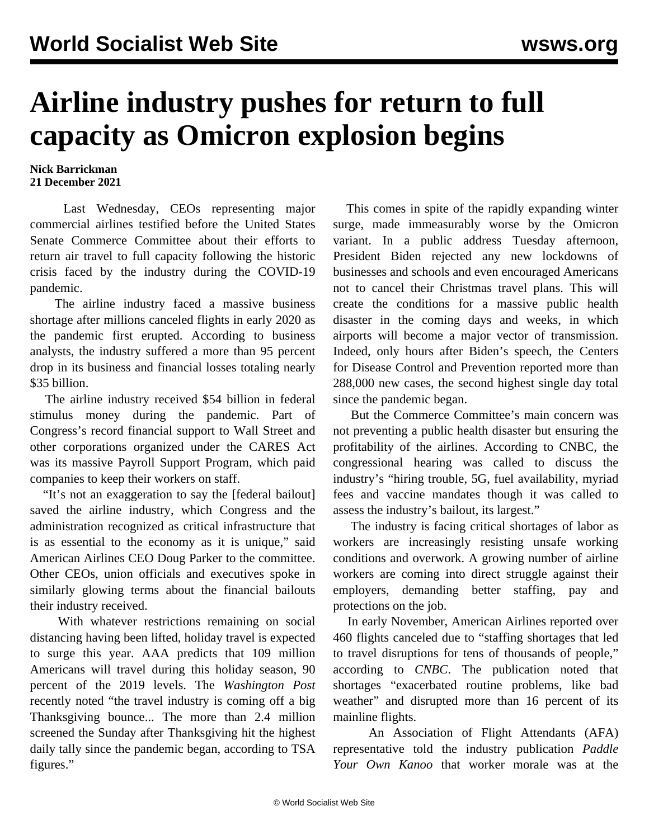## **Airline industry pushes for return to full capacity as Omicron explosion begins**

## **Nick Barrickman 21 December 2021**

 Last Wednesday, CEOs representing major commercial airlines testified before the United States Senate Commerce Committee about their efforts to return air travel to full capacity following the historic crisis faced by the industry during the COVID-19 pandemic.

 The airline industry faced a massive business shortage after millions canceled flights in early 2020 as the pandemic first erupted. According to business analysts, the industry suffered a more than 95 percent drop in its business and financial losses totaling nearly \$35 billion.

 The airline industry received \$54 billion in federal stimulus money during the pandemic. Part of Congress's record financial support to Wall Street and other corporations organized under the CARES Act was its massive Payroll Support Program, which paid companies to keep their workers on staff.

 "It's not an exaggeration to say the [federal bailout] saved the airline industry, which Congress and the administration recognized as critical infrastructure that is as essential to the economy as it is unique," said American Airlines CEO Doug Parker to the committee. Other CEOs, union officials and executives spoke in similarly glowing terms about the financial bailouts their industry received.

 With whatever restrictions remaining on social distancing having been lifted, holiday travel is expected to surge this year. AAA predicts that 109 million Americans will travel during this holiday season, 90 percent of the 2019 levels. The *Washington Post* recently noted "the travel industry is coming off a big Thanksgiving bounce... The more than 2.4 million screened the Sunday after Thanksgiving hit the highest daily tally since the pandemic began, according to TSA figures."

 This comes in spite of the rapidly expanding winter surge, made immeasurably worse by the Omicron variant. In a public address Tuesday afternoon, President Biden rejected any new lockdowns of businesses and schools and even encouraged Americans not to cancel their Christmas travel plans. This will create the conditions for a massive public health disaster in the coming days and weeks, in which airports will become a major vector of transmission. Indeed, only hours after Biden's speech, the Centers for Disease Control and Prevention reported more than 288,000 new cases, the second highest single day total since the pandemic began.

 But the Commerce Committee's main concern was not preventing a public health disaster but ensuring the profitability of the airlines. According to CNBC, the congressional hearing was called to discuss the industry's "hiring trouble, 5G, fuel availability, myriad fees and vaccine mandates though it was called to assess the industry's bailout, its largest."

 The industry is facing critical shortages of labor as workers are increasingly resisting unsafe working conditions and overwork. A [growing number](/en/articles/2021/11/23/airp-n23.html) of airline workers are coming into direct struggle against their employers, demanding better staffing, pay and protections on the job.

 In early November, American Airlines reported over 460 flights canceled due to "staffing shortages that led to travel disruptions for tens of thousands of people," according to *CNBC*. The publication noted that shortages "exacerbated routine problems, like bad weather" and disrupted more than 16 percent of its mainline flights.

 An Association of Flight Attendants (AFA) representative told the industry publication *Paddle Your Own Kanoo* that worker morale was at the